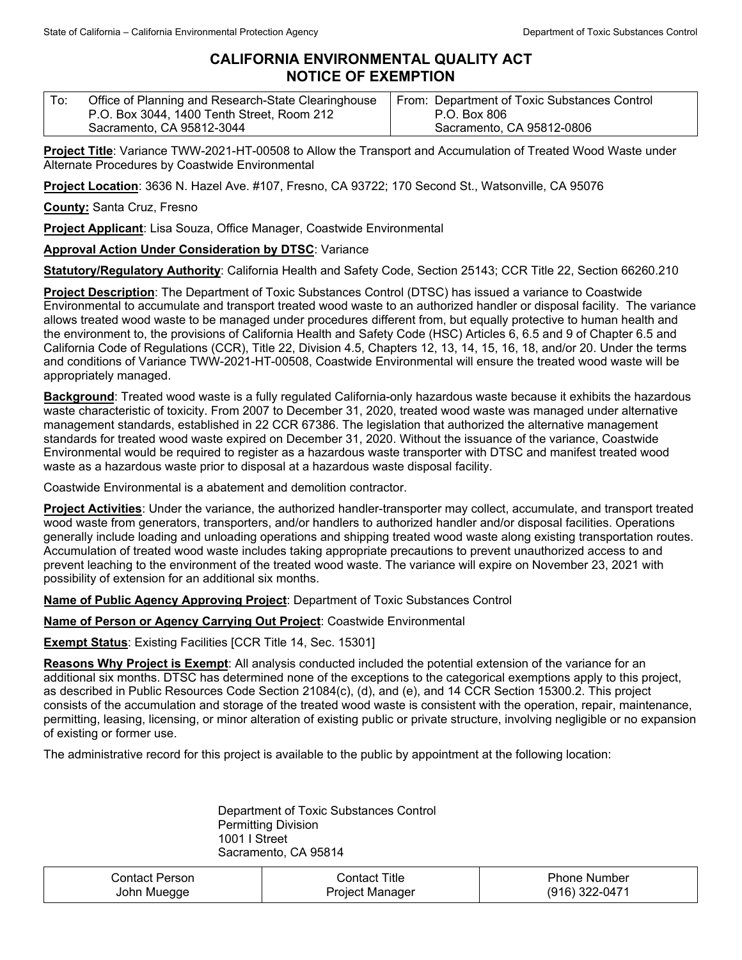## **CALIFORNIA ENVIRONMENTAL QUALITY ACT NOTICE OF EXEMPTION**

| ∣ To: | Office of Planning and Research-State Clearinghouse | From: Department of Toxic Substances Control |
|-------|-----------------------------------------------------|----------------------------------------------|
|       | P.O. Box 3044, 1400 Tenth Street, Room 212          | P.O. Box 806                                 |
|       | Sacramento, CA 95812-3044                           | Sacramento, CA 95812-0806                    |

**Project Title**: Variance TWW-2021-HT-00508 to Allow the Transport and Accumulation of Treated Wood Waste under Alternate Procedures by Coastwide Environmental

**Project Location**: 3636 N. Hazel Ave. #107, Fresno, CA 93722; 170 Second St., Watsonville, CA 95076

**County:** Santa Cruz, Fresno

**Project Applicant**: Lisa Souza, Office Manager, Coastwide Environmental

## **Approval Action Under Consideration by DTSC**: Variance

**Statutory/Regulatory Authority**: California Health and Safety Code, Section 25143; CCR Title 22, Section 66260.210

**Project Description**: The Department of Toxic Substances Control (DTSC) has issued a variance to Coastwide Environmental to accumulate and transport treated wood waste to an authorized handler or disposal facility. The variance allows treated wood waste to be managed under procedures different from, but equally protective to human health and the environment to, the provisions of California Health and Safety Code (HSC) Articles 6, 6.5 and 9 of Chapter 6.5 and California Code of Regulations (CCR), Title 22, Division 4.5, Chapters 12, 13, 14, 15, 16, 18, and/or 20. Under the terms and conditions of Variance TWW-2021-HT-00508, Coastwide Environmental will ensure the treated wood waste will be appropriately managed.

**Background**: Treated wood waste is a fully regulated California-only hazardous waste because it exhibits the hazardous waste characteristic of toxicity. From 2007 to December 31, 2020, treated wood waste was managed under alternative management standards, established in 22 CCR 67386. The legislation that authorized the alternative management standards for treated wood waste expired on December 31, 2020. Without the issuance of the variance, Coastwide Environmental would be required to register as a hazardous waste transporter with DTSC and manifest treated wood waste as a hazardous waste prior to disposal at a hazardous waste disposal facility.

Coastwide Environmental is a abatement and demolition contractor.

**Project Activities**: Under the variance, the authorized handler-transporter may collect, accumulate, and transport treated wood waste from generators, transporters, and/or handlers to authorized handler and/or disposal facilities. Operations generally include loading and unloading operations and shipping treated wood waste along existing transportation routes. Accumulation of treated wood waste includes taking appropriate precautions to prevent unauthorized access to and prevent leaching to the environment of the treated wood waste. The variance will expire on November 23, 2021 with possibility of extension for an additional six months.

**Name of Public Agency Approving Project**: Department of Toxic Substances Control

**Name of Person or Agency Carrying Out Project**: Coastwide Environmental

**Exempt Status**: Existing Facilities [CCR Title 14, Sec. 15301]

**Reasons Why Project is Exempt**: All analysis conducted included the potential extension of the variance for an additional six months. DTSC has determined none of the exceptions to the categorical exemptions apply to this project, as described in Public Resources Code Section 21084(c), (d), and (e), and 14 CCR Section 15300.2. This project consists of the accumulation and storage of the treated wood waste is consistent with the operation, repair, maintenance, permitting, leasing, licensing, or minor alteration of existing public or private structure, involving negligible or no expansion of existing or former use.

The administrative record for this project is available to the public by appointment at the following location:

Department of Toxic Substances Control Permitting Division 1001 I Street Sacramento, CA 95814

| ∴ontact Person⊹ | ontact Titleٽ   | Phone Number   |
|-----------------|-----------------|----------------|
| John Muegge     | Project Manager | (916) 322-0471 |